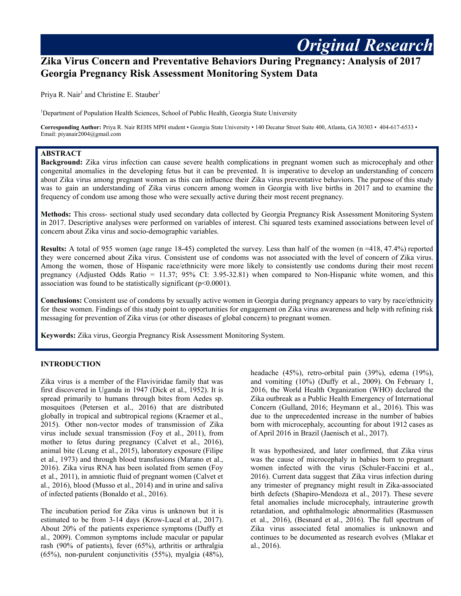# **Zika Virus Concern and Preventative Behaviors During Pregnancy: Analysis of 2017 Georgia Pregnancy Risk Assessment Monitoring System Data**

Priya R. Nair<sup>1</sup> and Christine E. Stauber<sup>1</sup>

<sup>1</sup>Department of Population Health Sciences, School of Public Health, Georgia State University

**Corresponding Author:** Priya R. Nair REHS MPH student • Georgia State University • 140 Decatur Street Suite 400, Atlanta, GA 30303 • 404-617-6533 • Email: piyanair2004@gmail.com

### **ABSTRACT**

**Background:** Zika virus infection can cause severe health complications in pregnant women such as microcephaly and other congenital anomalies in the developing fetus but it can be prevented. It is imperative to develop an understanding of concern about Zika virus among pregnant women as this can influence their Zika virus preventative behaviors. The purpose of this study was to gain an understanding of Zika virus concern among women in Georgia with live births in 2017 and to examine the frequency of condom use among those who were sexually active during their most recent pregnancy.

**Methods:** This cross- sectional study used secondary data collected by Georgia Pregnancy Risk Assessment Monitoring System in 2017. Descriptive analyses were performed on variables of interest. Chi squared tests examined associations between level of concern about Zika virus and socio-demographic variables.

**Results:** A total of 955 women (age range 18-45) completed the survey. Less than half of the women (n =418, 47.4%) reported they were concerned about Zika virus. Consistent use of condoms was not associated with the level of concern of Zika virus. Among the women, those of Hispanic race/ethnicity were more likely to consistently use condoms during their most recent pregnancy (Adjusted Odds Ratio = 11.37; 95% CI: 3.95-32.81) when compared to Non-Hispanic white women, and this association was found to be statistically significant  $(p<0.0001)$ .

**Conclusions:** Consistent use of condoms by sexually active women in Georgia during pregnancy appears to vary by race/ethnicity for these women. Findings of this study point to opportunities for engagement on Zika virus awareness and help with refining risk messaging for prevention of Zika virus (or other diseases of global concern) to pregnant women.

**Keywords:** Zika virus, Georgia Pregnancy Risk Assessment Monitoring System.

### **INTRODUCTION**

Zika virus is a member of the Flaviviridae family that was first discovered in Uganda in 1947 (Dick et al., 1952). It is spread primarily to humans through bites from Aedes sp. mosquitoes (Petersen et al., 2016) that are distributed globally in tropical and subtropical regions (Kraemer et al., 2015). Other non-vector modes of transmission of Zika virus include sexual transmission (Foy et al., 2011), from mother to fetus during pregnancy (Calvet et al., 2016), animal bite (Leung et al., 2015), laboratory exposure (Filipe et al., 1973) and through blood transfusions (Marano et al., 2016). Zika virus RNA has been isolated from semen (Foy et al., 2011), in amniotic fluid of pregnant women (Calvet et al., 2016), blood (Musso et al., 2014) and in urine and saliva of infected patients (Bonaldo et al., 2016).

The incubation period for Zika virus is unknown but it is estimated to be from 3-14 days (Krow-Lucal et al., 2017). About 20% of the patients experience symptoms (Duffy et al., 2009). Common symptoms include macular or papular rash (90% of patients), fever (65%), arthritis or arthralgia (65%), non-purulent conjunctivitis (55%), myalgia (48%),

headache (45%), retro-orbital pain (39%), edema (19%), and vomiting (10%) (Duffy et al., 2009). On February 1, 2016, the World Health Organization (WHO) declared the Zika outbreak as a Public Health Emergency of International Concern (Gulland, 2016; Heymann et al., 2016). This was due to the unprecedented increase in the number of babies born with microcephaly, accounting for about 1912 cases as of April 2016 in Brazil (Jaenisch et al., 2017).

*Original Research*

It was hypothesized, and later confirmed, that Zika virus was the cause of microcephaly in babies born to pregnant women infected with the virus (Schuler-Faccini et al., 2016). Current data suggest that Zika virus infection during any trimester of pregnancy might result in Zika-associated birth defects (Shapiro-Mendoza et al., 2017). These severe fetal anomalies include microcephaly, intrauterine growth retardation, and ophthalmologic abnormalities (Rasmussen et al., 2016), (Besnard et al., 2016). The full spectrum of Zika virus associated fetal anomalies is unknown and continues to be documented as research evolves (Mlakar et al., 2016).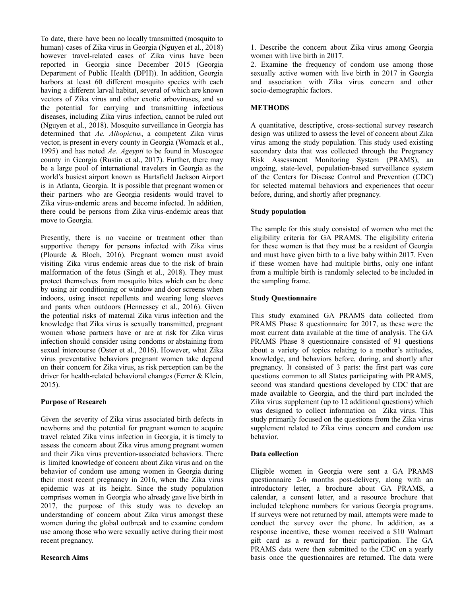To date, there have been no locally transmitted (mosquito to human) cases of Zika virus in Georgia (Nguyen et al., 2018) however travel-related cases of Zika virus have been reported in Georgia since December 2015 (Georgia Department of Public Health (DPH)). In addition, Georgia harbors at least 60 different mosquito species with each having a different larval habitat, several of which are known vectors of Zika virus and other exotic arboviruses, and so the potential for carrying and transmitting infectious diseases, including Zika virus infection, cannot be ruled out (Nguyen et al., 2018). Mosquito surveillance in Georgia has determined that *Ae. Albopictus*, a competent Zika virus vector, is present in every county in Georgia (Womack et al., 1995) and has noted *Ae. Ageypti* to be found in Muscogee county in Georgia (Rustin et al., 2017). Further, there may be a large pool of international travelers in Georgia as the world's busiest airport known as Hartsfield Jackson Airport is in Atlanta, Georgia. It is possible that pregnant women or their partners who are Georgia residents would travel to Zika virus-endemic areas and become infected. In addition, there could be persons from Zika virus-endemic areas that move to Georgia.

Presently, there is no vaccine or treatment other than supportive therapy for persons infected with Zika virus (Plourde & Bloch, 2016). Pregnant women must avoid visiting Zika virus endemic areas due to the risk of brain malformation of the fetus (Singh et al., 2018). They must protect themselves from mosquito bites which can be done by using air conditioning or window and door screens when indoors, using insect repellents and wearing long sleeves and pants when outdoors (Hennessey et al., 2016). Given the potential risks of maternal Zika virus infection and the knowledge that Zika virus is sexually transmitted, pregnant women whose partners have or are at risk for Zika virus infection should consider using condoms or abstaining from sexual intercourse (Oster et al., 2016). However, what Zika virus preventative behaviors pregnant women take depend on their concern for Zika virus, as risk perception can be the driver for health-related behavioral changes (Ferrer & Klein, 2015).

# **Purpose of Research**

Given the severity of Zika virus associated birth defects in newborns and the potential for pregnant women to acquire travel related Zika virus infection in Georgia, it is timely to assess the concern about Zika virus among pregnant women and their Zika virus prevention-associated behaviors. There is limited knowledge of concern about Zika virus and on the behavior of condom use among women in Georgia during their most recent pregnancy in 2016, when the Zika virus epidemic was at its height. Since the study population comprises women in Georgia who already gave live birth in 2017, the purpose of this study was to develop an understanding of concern about Zika virus amongst these women during the global outbreak and to examine condom use among those who were sexually active during their most recent pregnancy.

# **Research Aims**

1. Describe the concern about Zika virus among Georgia women with live birth in 2017.

2. Examine the frequency of condom use among those sexually active women with live birth in 2017 in Georgia and association with Zika virus concern and other socio-demographic factors.

# **METHODS**

A quantitative, descriptive, cross-sectional survey research design was utilized to assess the level of concern about Zika virus among the study population. This study used existing secondary data that was collected through the Pregnancy Risk Assessment Monitoring System (PRAMS), an ongoing, state-level, population-based surveillance system of the Centers for Disease Control and Prevention (CDC) for selected maternal behaviors and experiences that occur before, during, and shortly after pregnancy.

# **Study population**

The sample for this study consisted of women who met the eligibility criteria for GA PRAMS. The eligibility criteria for these women is that they must be a resident of Georgia and must have given birth to a live baby within 2017. Even if these women have had multiple births, only one infant from a multiple birth is randomly selected to be included in the sampling frame.

# **Study Questionnaire**

This study examined GA PRAMS data collected from PRAMS Phase 8 questionnaire for 2017, as these were the most current data available at the time of analysis. The GA PRAMS Phase 8 questionnaire consisted of 91 questions about a variety of topics relating to a mother's attitudes, knowledge, and behaviors before, during, and shortly after pregnancy. It consisted of 3 parts: the first part was core questions common to all States participating with PRAMS, second was standard questions developed by CDC that are made available to Georgia, and the third part included the Zika virus supplement (up to 12 additional questions) which was designed to collect information on Zika virus. This study primarily focused on the questions from the Zika virus supplement related to Zika virus concern and condom use behavior.

# **Data collection**

Eligible women in Georgia were sent a GA PRAMS questionnaire 2-6 months post-delivery, along with an introductory letter, a brochure about GA PRAMS, a calendar, a consent letter, and a resource brochure that included telephone numbers for various Georgia programs. If surveys were not returned by mail, attempts were made to conduct the survey over the phone. In addition, as a response incentive, these women received a \$10 Walmart gift card as a reward for their participation. The GA PRAMS data were then submitted to the CDC on a yearly basis once the questionnaires are returned. The data were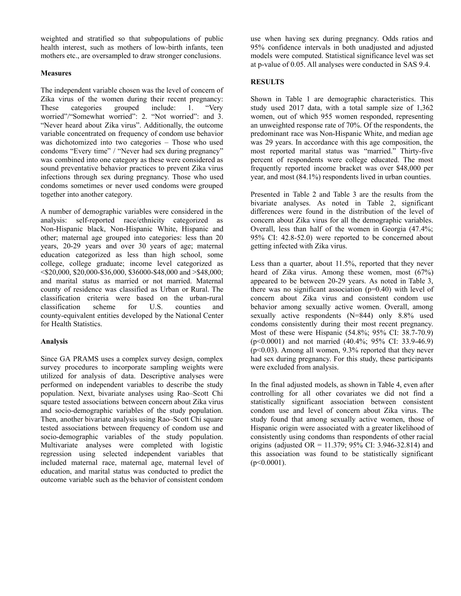weighted and stratified so that subpopulations of public health interest, such as mothers of low-birth infants, teen mothers etc., are oversampled to draw stronger conclusions.

# **Measures**

The independent variable chosen was the level of concern of Zika virus of the women during their recent pregnancy: These categories grouped include: 1. "Very worried"/"Somewhat worried": 2. "Not worried": and 3. "Never heard about Zika virus". Additionally, the outcome variable concentrated on frequency of condom use behavior was dichotomized into two categories – Those who used condoms "Every time" / "Never had sex during pregnancy" was combined into one category as these were considered as sound preventative behavior practices to prevent Zika virus infections through sex during pregnancy. Those who used condoms sometimes or never used condoms were grouped together into another category.

A number of demographic variables were considered in the analysis: self-reported race/ethnicity categorized as Non-Hispanic black, Non-Hispanic White, Hispanic and other; maternal age grouped into categories: less than 20 years, 20-29 years and over 30 years of age; maternal education categorized as less than high school, some college, college graduate; income level categorized as  $\langle$ \$20,000, \$20,000-\$36,000, \$36000-\$48,000 and >\$48,000; and marital status as married or not married. Maternal county of residence was classified as Urban or Rural. The classification criteria were based on the urban-rural classification scheme for U.S. counties and county-equivalent entities developed by the National Center for Health Statistics.

# **Analysis**

Since GA PRAMS uses a complex survey design, complex survey procedures to incorporate sampling weights were utilized for analysis of data. Descriptive analyses were performed on independent variables to describe the study population. Next, bivariate analyses using Rao–Scott Chi square tested associations between concern about Zika virus and socio-demographic variables of the study population. Then, another bivariate analysis using Rao–Scott Chi square tested associations between frequency of condom use and socio-demographic variables of the study population. Multivariate analyses were completed with logistic regression using selected independent variables that included maternal race, maternal age, maternal level of education, and marital status was conducted to predict the outcome variable such as the behavior of consistent condom

use when having sex during pregnancy. Odds ratios and 95% confidence intervals in both unadjusted and adjusted models were computed. Statistical significance level was set at p-value of 0.05. All analyses were conducted in SAS 9.4.

# **RESULTS**

Shown in Table 1 are demographic characteristics. This study used 2017 data, with a total sample size of 1,362 women, out of which 955 women responded, representing an unweighted response rate of 70%. Of the respondents, the predominant race was Non-Hispanic White, and median age was 29 years. In accordance with this age composition, the most reported marital status was "married." Thirty-five percent of respondents were college educated. The most frequently reported income bracket was over \$48,000 per year, and most (84.1%) respondents lived in urban counties.

Presented in Table 2 and Table 3 are the results from the bivariate analyses. As noted in Table 2, significant differences were found in the distribution of the level of concern about Zika virus for all the demographic variables. Overall, less than half of the women in Georgia (47.4%; 95% CI: 42.8-52.0) were reported to be concerned about getting infected with Zika virus.

Less than a quarter, about 11.5%, reported that they never heard of Zika virus. Among these women, most (67%) appeared to be between 20-29 years. As noted in Table 3, there was no significant association (p=0.40) with level of concern about Zika virus and consistent condom use behavior among sexually active women. Overall, among sexually active respondents (N=844) only 8.8% used condoms consistently during their most recent pregnancy. Most of these were Hispanic (54.8%; 95% CI: 38.7-70.9) (p<0.0001) and not married (40.4%; 95% CI: 33.9-46.9) (p<0.03). Among all women, 9.3% reported that they never had sex during pregnancy. For this study, these participants were excluded from analysis.

In the final adjusted models, as shown in Table 4, even after controlling for all other covariates we did not find a statistically significant association between consistent condom use and level of concern about Zika virus. The study found that among sexually active women, those of Hispanic origin were associated with a greater likelihood of consistently using condoms than respondents of other racial origins (adjusted OR = 11.379; 95% CI: 3.946-32.814) and this association was found to be statistically significant  $(p<0.0001)$ .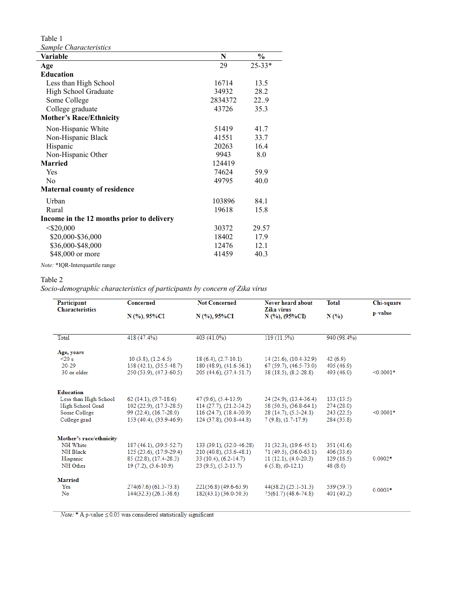Table 1 *Sample Characteristics*

| sample Unaracteristics                    |         |               |
|-------------------------------------------|---------|---------------|
| Variable                                  | N       | $\frac{1}{2}$ |
| Age                                       | 29      | $25 - 33*$    |
| <b>Education</b>                          |         |               |
| Less than High School                     | 16714   | 13.5          |
| High School Graduate                      | 34932   | 28.2          |
| Some College                              | 2834372 | 22.9          |
| College graduate                          | 43726   | 35.3          |
| <b>Mother's Race/Ethnicity</b>            |         |               |
| Non-Hispanic White                        | 51419   | 41.7          |
| Non-Hispanic Black                        | 41551   | 33.7          |
| Hispanic                                  | 20263   | 16.4          |
| Non-Hispanic Other                        | 9943    | 8.0           |
| <b>Married</b>                            | 124419  |               |
| Yes                                       | 74624   | 59.9          |
| N <sub>0</sub>                            | 49795   | 40.0          |
| <b>Maternal county of residence</b>       |         |               |
| Urban                                     | 103896  | 84.1          |
| Rural                                     | 19618   | 15.8          |
| Income in the 12 months prior to delivery |         |               |
| $<$ \$20,000                              | 30372   | 29.57         |
| \$20,000-\$36,000                         | 18402   | 17.9          |
| \$36,000-\$48,000                         | 12476   | 12.1          |
| \$48,000 or more                          | 41459   | 40.3          |
| Note: *IQR-Interquartile range            |         |               |

#### Table 2

*Socio-demographic characteristics of participants by concern of Zika virus*

| Participant             | Concerned                   | <b>Not Concerned</b>     | Never heard about              | <b>Total</b> | Chi-square  |
|-------------------------|-----------------------------|--------------------------|--------------------------------|--------------|-------------|
| <b>Characteristics</b>  | N (%), 95%CI                | N (%), 95%CI             | Zika virus<br>$N$ (%), (95%CI) | N(%          | p-value     |
|                         |                             |                          |                                |              |             |
| Total                   | 418 (47.4%)                 | 403 (41.0%)              | $119(11.5\%)$                  | 940 (98.4%)  |             |
| Age, years              |                             |                          |                                |              |             |
| $\leq$ 20 s             | $10(3.8), (1.2-6.5)$        | $18(6.4), (2.7-10.1)$    | $14(21.6), (10.4-32.9)$        | 42(6.9)      |             |
| $20 - 29$               | 158 (42.1), (35.5-48.7)     | 180 (48.9), (41.6-56.1)  | $67(59.7), (46.5-73.0)$        | 405 (46.9)   |             |
| 30 or older             | $250(53.9)$ , $(47.3-60.5)$ | 205 (44.6), (37.4-51.7)  | $38(18.5), (8.2-28.8)$         | 493 (46.0)   | $< 0.0001*$ |
|                         |                             |                          |                                |              |             |
| <b>Education</b>        |                             |                          |                                |              |             |
| Less than High School   | $62(14.1), (9.7-18.6)$      | $47(9.6)$ , $(5.4-13.9)$ | 24 (24.9), (13.4-36.4)         | 133(13.5)    |             |
| High School Grad        | $102(22.9), (17.3-28.5)$    | 114 (27.7), (21.2-34.2)  | 58 (50.5), (36.8-64.1)         | 274 (28.0)   |             |
| Some College            | 99 (22.4), (16.7-28.0)      | $116(24.7), (18.4-30.9)$ | $28(14.7), (5.3-24.1)$         | 243(22.5)    | $< 0.0001*$ |
| College grad            | 153 (40.4), (33.9-46.9)     | 124 (37.8), (30.8-44.8)  | $7(9.8), (1.7-17.9)$           | 284 (35.8)   |             |
| Mother's race/ethnicity |                             |                          |                                |              |             |
| NH White                | 187 (46.1), (39.5-52.7)     | 133 (39.1), (32.0-46.28) | $31(32.3), (19.6-45.1)$        | 351 (41.6)   |             |
| NH Black                | $125(23.6), (17.9-29.4)$    | $210(40.8), (33.6-48.1)$ | $71(49.5), (36.0-63.1)$        | 406(33.6)    |             |
| Hispanic                | 85 (22.8), (17.4-28.3)      | 33 (10.4), (6.2-14.7)    | $11(12.1), (4.0-20.3)$         | 129(16.5)    | $0.0002*$   |
| NH Other                | $19(7.2), (3.6-10.9)$       | $(9.5), (5.2-13.7)$      | $6(5.8), (0-12.1)$             | 48(8.0)      |             |
|                         |                             |                          |                                |              |             |
| <b>Married</b>          |                             |                          |                                |              |             |
| Yes                     | 274(67.6) (61.3-73.8)       | $221(56.8) (49.6-63.9)$  | $44(38.2)$ $(25.1-51.3)$       | 539 (59.7)   | $0.0003*$   |
| No                      | $144(32.3)$ (26.1-38.6)     | 182(43.1) (36.0-50.3)    | $75(61.7) (48.6 - 74.8)$       | 401 (40.2)   |             |
|                         |                             |                          |                                |              |             |

 $\textit{Note:}$  \* A p-value  $\leq\!0.05$  was considered statistically significant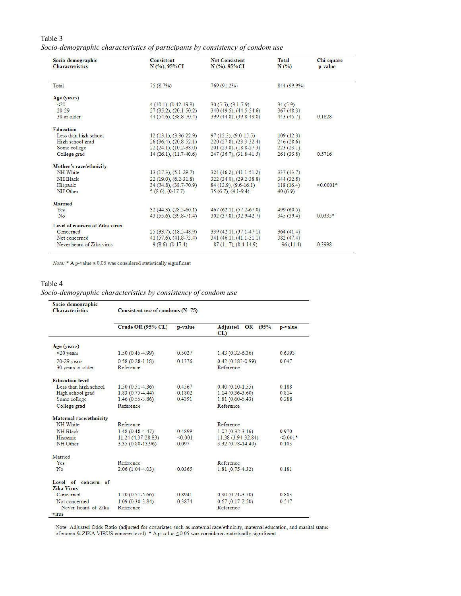# Table 3 *Socio-demographic characteristics of participants by consistency of condom use*

| Socio-demographic<br><b>Characteristics</b> | <b>Consistent</b><br>$N$ (%), 95%CI | <b>Not Consistent</b><br>N (%), 95%CI | Total<br>N(%) | Chi-square<br>p-value |
|---------------------------------------------|-------------------------------------|---------------------------------------|---------------|-----------------------|
|                                             |                                     |                                       |               |                       |
| Total                                       | 75 (8.7%)                           | 769 (91.2%)                           | 844 (99.9%)   |                       |
| Age (years)                                 |                                     |                                       |               |                       |
| $\leq 20$                                   | $4(10.1), (0.42-19.8)$              | $30(5.5), (3.1-7.9)$                  | 34(5.9)       |                       |
| $20 - 29$                                   | $27(35.2), (20.1-50.2)$             | 340 (49.5), (44.5-54.6)               | 367(48.3)     |                       |
| 30 or older                                 | 44 (54.6), (38.8-70.4)              | 399 (44.8), (39.8-49.8)               | 443 (45.7)    | 0.1828                |
| <b>Education</b>                            |                                     |                                       |               |                       |
| Less than high school                       | $12(13.1), (3.36-22.9)$             | $97(12.3), (9.0-15.5)$                | 109(12.3)     |                       |
| High school grad                            | $26(36.4), (20.8-52.1)$             | 220 (27.8), (23.3-32.4)               | 246(28.6)     |                       |
| Some college                                | $22(24.1), (10.2-38.0)$             | 201 (23.0), (18.8-27.3)               | 223(23.1)     |                       |
| College grad                                | 14 (26.1), (11.7-40.6)              | 247 (36.7), (31.8-41.5)               | 261(35.8)     | 0.5716                |
| Mother's race/ethnicity                     |                                     |                                       |               |                       |
| NH White                                    | $13(17.3), (5.1-29.7)$              | 324 (46.2), (41.1-51.2)               | 337(43.7)     |                       |
| NH Black                                    | $22(19.0), (6.2-31.8)$              | 322 (34.0), (29.2-38.8)               | 344 (32.8)    |                       |
| Hispanic                                    | 34 (54.8), (38.7-70.9)              | $84(12.9), (9.6-16.1)$                | 118(16.4)     | $< 0.0001*$           |
| NH Other                                    | $5(8.6), (0-17.7)$                  | $35(6.7)$ , $(4.1-9.4)$               | 40(6.9)       |                       |
| <b>Married</b>                              |                                     |                                       |               |                       |
| Yes                                         | $32(44.3), (28.5-60.1)$             | 467 (62.1), (57.2-67.0)               | 499(60.5)     |                       |
| No                                          | 43 (55.6), (39.8-71.4)              | 302 (37.8), (32.9-42.7)               | 345 (39.4)    | $0.0335*$             |
| Level of concern of Zika virus              |                                     |                                       |               |                       |
| Concerned                                   | $25(33.7)$ , $(18.5-48.9)$          | 339 (42.1), (37.1-47.1)               | 364(41.4)     |                       |
| Not concerned                               | $41(57.6)$ , $(41.8-73.4)$          | 341 (46.1), (41.1-51.1)               | 382 (47.4)    |                       |
| Never heard of Zika virus                   | $9(8.6), (0-17.4)$                  | 87 (11.7), (8.4-14.9)                 | 96(11.4)      | 0.3998                |

Note: \* A p-value  $\leq\!0.05$  was considered statistically significant

#### Table 4

*Socio-demographic characteristics by consistency of condom use*

| Socio-demographic<br><b>Characteristics</b> | Consistent use of condoms $(N=75)$ |         |                                   |            |
|---------------------------------------------|------------------------------------|---------|-----------------------------------|------------|
|                                             | Crude OR (95% CL)                  | p-value | Adjusted<br>OR (95%)<br>CL)       | p-value    |
| Age (years)                                 |                                    |         |                                   |            |
| $<$ 20 years                                | $1.50(0.45-4.99)$                  | 0.5027  | $1.43(0.32-6.36)$                 | 0.6393     |
| $20-29$ years<br>30 years or older          | $0.58(0.28-1.18)$<br>Reference     | 01376   | $0.42(0.183 - 0.99)$<br>Reference | 0.047      |
| <b>Education level</b>                      |                                    |         |                                   |            |
| Less than high school                       | $1.50(0.51-4.36)$                  | 04567   | $0.40(0.10-1.55)$                 | 0.188      |
| High school grad                            | $1.83(0.75-4.44)$                  | 0.1802  | $1.14(0.36-3.60)$                 | 0.814      |
| Some college                                | $1.46(0.55-3.86)$                  | 0.4391  | $1.81(0.60-5.43)$                 | 0.288      |
| College grad                                | Reference                          |         | Reference                         |            |
| Maternal race/ethnicity                     |                                    |         |                                   |            |
| NH White                                    | Reference                          |         | Reference                         |            |
| <b>NH</b> Black                             | $1.48(0.48-4.47)$                  | 0.4899  | $1.02(0.32 - 3.16)$               | 0.970      |
| Hispanic                                    | 11.24 (4.37-28.83)                 | < 0.001 | 11.38 (3.94-32.84)                | $< 0.001*$ |
| NH Other                                    | 3.35 (0.80-13.96)                  | 0.097   | 3.32 (0.78-14.40)                 | 0.103      |
| Married                                     |                                    |         |                                   |            |
| Yes                                         | Reference                          |         | Reference                         |            |
| No                                          | $2.06(1.04-4.03)$                  | 0.0365  | $1.81(0.75-4.32)$                 | 0.181      |
| Level of concern of<br><b>Zika Virus</b>    |                                    |         |                                   |            |
| Concerned                                   | $1.70(0.51-5.66)$                  | 0.8941  | $0.90(0.21-3.70)$                 | 0.883      |
| Not concerned                               | $1.09(0.30-3.84)$                  | 0.3874  | $0.67(0.17-2.50)$                 | 0.547      |
| Never heard of Zika                         | Reference                          |         | Reference                         |            |
| <b>Virus</b>                                |                                    |         |                                   |            |

Note: Adjusted Odds Ratio (adjusted for covariates such as maternal race/ethnicity, maternal education, and marital status of moms & ZIKA VIRUS concern level). \* A p-value  $\leq 0.05$  was considered statistically significa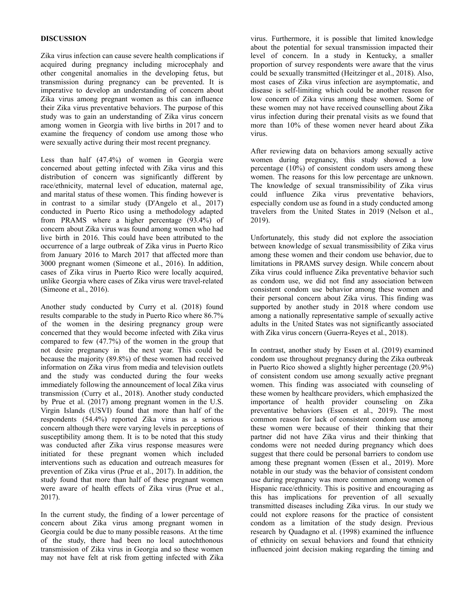### **DISCUSSION**

Zika virus infection can cause severe health complications if acquired during pregnancy including microcephaly and other congenital anomalies in the developing fetus, but transmission during pregnancy can be prevented. It is imperative to develop an understanding of concern about Zika virus among pregnant women as this can influence their Zika virus preventative behaviors. The purpose of this study was to gain an understanding of Zika virus concern among women in Georgia with live births in 2017 and to examine the frequency of condom use among those who were sexually active during their most recent pregnancy.

Less than half (47.4%) of women in Georgia were concerned about getting infected with Zika virus and this distribution of concern was significantly different by race/ethnicity, maternal level of education, maternal age, and marital status of these women. This finding however is in contrast to a similar study (D'Angelo et al., 2017) conducted in Puerto Rico using a methodology adapted from PRAMS where a higher percentage (93.4%) of concern about Zika virus was found among women who had live birth in 2016. This could have been attributed to the occurrence of a large outbreak of Zika virus in Puerto Rico from January 2016 to March 2017 that affected more than 3000 pregnant women (Simeone et al., 2016). In addition, cases of Zika virus in Puerto Rico were locally acquired, unlike Georgia where cases of Zika virus were travel-related (Simeone et al., 2016).

Another study conducted by Curry et al. (2018) found results comparable to the study in Puerto Rico where 86.7% of the women in the desiring pregnancy group were concerned that they would become infected with Zika virus compared to few (47.7%) of the women in the group that not desire pregnancy in the next year. This could be because the majority (89.8%) of these women had received information on Zika virus from media and television outlets and the study was conducted during the four weeks immediately following the announcement of local Zika virus transmission (Curry et al., 2018). Another study conducted by Prue et al. (2017) among pregnant women in the U.S. Virgin Islands (USVI) found that more than half of the respondents (54.4%) reported Zika virus as a serious concern although there were varying levels in perceptions of susceptibility among them. It is to be noted that this study was conducted after Zika virus response measures were initiated for these pregnant women which included interventions such as education and outreach measures for prevention of Zika virus (Prue et al., 2017). In addition, the study found that more than half of these pregnant women were aware of health effects of Zika virus (Prue et al., 2017).

In the current study, the finding of a lower percentage of concern about Zika virus among pregnant women in Georgia could be due to many possible reasons. At the time of the study, there had been no local autochthonous transmission of Zika virus in Georgia and so these women may not have felt at risk from getting infected with Zika

virus. Furthermore, it is possible that limited knowledge about the potential for sexual transmission impacted their level of concern. In a study in Kentucky, a smaller proportion of survey respondents were aware that the virus could be sexually transmitted (Heitzinger et al., 2018). Also, most cases of Zika virus infection are asymptomatic, and disease is self-limiting which could be another reason for low concern of Zika virus among these women. Some of these women may not have received counselling about Zika virus infection during their prenatal visits as we found that more than 10% of these women never heard about Zika virus.

After reviewing data on behaviors among sexually active women during pregnancy, this study showed a low percentage (10%) of consistent condom users among these women. The reasons for this low percentage are unknown. The knowledge of sexual transmissibility of Zika virus could influence Zika virus preventative behaviors, especially condom use as found in a study conducted among travelers from the United States in 2019 (Nelson et al., 2019).

Unfortunately, this study did not explore the association between knowledge of sexual transmissibility of Zika virus among these women and their condom use behavior, due to limitations in PRAMS survey design. While concern about Zika virus could influence Zika preventative behavior such as condom use, we did not find any association between consistent condom use behavior among these women and their personal concern about Zika virus. This finding was supported by another study in 2018 where condom use among a nationally representative sample of sexually active adults in the United States was not significantly associated with Zika virus concern (Guerra-Reyes et al., 2018).

In contrast, another study by Essen et al. (2019) examined condom use throughout pregnancy during the Zika outbreak in Puerto Rico showed a slightly higher percentage (20.9%) of consistent condom use among sexually active pregnant women. This finding was associated with counseling of these women by healthcare providers, which emphasized the importance of health provider counseling on Zika preventative behaviors (Essen et al., 2019). The most common reason for lack of consistent condom use among these women were because of their thinking that their partner did not have Zika virus and their thinking that condoms were not needed during pregnancy which does suggest that there could be personal barriers to condom use among these pregnant women (Essen et al., 2019). More notable in our study was the behavior of consistent condom use during pregnancy was more common among women of Hispanic race/ethnicity. This is positive and encouraging as this has implications for prevention of all sexually transmitted diseases including Zika virus. In our study we could not explore reasons for the practice of consistent condom as a limitation of the study design. Previous research by Quadagno et al. (1998) examined the influence of ethnicity on sexual behaviors and found that ethnicity influenced joint decision making regarding the timing and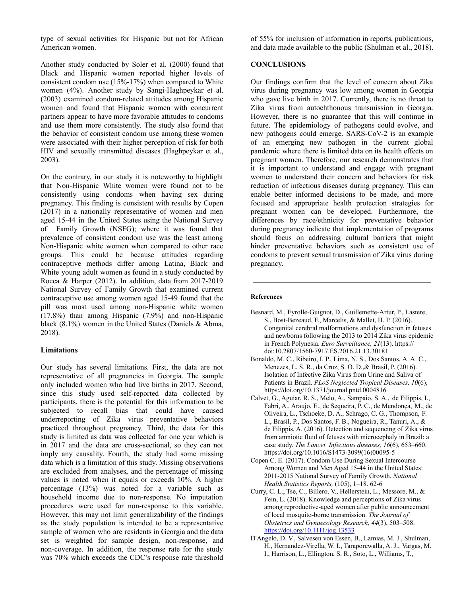type of sexual activities for Hispanic but not for African American women.

Another study conducted by Soler et al. (2000) found that Black and Hispanic women reported higher levels of consistent condom use (15%-17%) when compared to White women (4%). Another study by Sangi-Haghpeykar et al. (2003) examined condom-related attitudes among Hispanic women and found that Hispanic women with concurrent partners appear to have more favorable attitudes to condoms and use them more consistently. The study also found that the behavior of consistent condom use among these women were associated with their higher perception of risk for both HIV and sexually transmitted diseases (Haghpeykar et al., 2003).

On the contrary, in our study it is noteworthy to highlight that Non-Hispanic White women were found not to be consistently using condoms when having sex during pregnancy. This finding is consistent with results by Copen (2017) in a nationally representative of women and men aged 15-44 in the United States using the National Survey of Family Growth (NSFG); where it was found that prevalence of consistent condom use was the least among Non-Hispanic white women when compared to other race groups. This could be because attitudes regarding contraceptive methods differ among Latina, Black and White young adult women as found in a study conducted by Rocca & Harper (2012). In addition, data from 2017-2019 National Survey of Family Growth that examined current contraceptive use among women aged 15-49 found that the pill was most used among non-Hispanic white women (17.8%) than among Hispanic (7.9%) and non-Hispanic black (8.1%) women in the United States (Daniels & Abma, 2018).

# **Limitations**

Our study has several limitations. First, the data are not representative of all pregnancies in Georgia. The sample only included women who had live births in 2017. Second, since this study used self-reported data collected by participants, there is the potential for this information to be subjected to recall bias that could have caused underreporting of Zika virus preventative behaviors practiced throughout pregnancy. Third, the data for this study is limited as data was collected for one year which is in 2017 and the data are cross-sectional, so they can not imply any causality. Fourth, the study had some missing data which is a limitation of this study. Missing observations are excluded from analyses, and the percentage of missing values is noted when it equals or exceeds 10%. A higher percentage (13%) was noted for a variable such as household income due to non-response. No imputation procedures were used for non-response to this variable. However, this may not limit generalizability of the findings as the study population is intended to be a representative sample of women who are residents in Georgia and the data set is weighted for sample design, non-response, and non-coverage. In addition, the response rate for the study was 70% which exceeds the CDC's response rate threshold

of 55% for inclusion of information in reports, publications, and data made available to the public (Shulman et al., 2018).

#### **CONCLUSIONS**

Our findings confirm that the level of concern about Zika virus during pregnancy was low among women in Georgia who gave live birth in 2017. Currently, there is no threat to Zika virus from autochthonous transmission in Georgia. However, there is no guarantee that this will continue in future. The epidemiology of pathogens could evolve, and new pathogens could emerge. SARS-CoV-2 is an example of an emerging new pathogen in the current global pandemic where there is limited data on its health effects on pregnant women. Therefore, our research demonstrates that it is important to understand and engage with pregnant women to understand their concern and behaviors for risk reduction of infectious diseases during pregnancy. This can enable better informed decisions to be made, and more focused and appropriate health protection strategies for pregnant women can be developed. Furthermore, the differences by race/ethnicity for preventative behavior during pregnancy indicate that implementation of programs should focus on addressing cultural barriers that might hinder preventative behaviors such as consistent use of condoms to prevent sexual transmission of Zika virus during pregnancy.

#### **References**

- Besnard, M., Eyrolle-Guignot, D., Guillemette-Artur, P., Lastere, S., Bost-Bezeaud, F., Marcelis, & Mallet, H. P. (2016). Congenital cerebral malformations and dysfunction in fetuses and newborns following the 2013 to 2014 Zika virus epidemic in French Polynesia. *Euro Surveillance, 21*(13). https:// doi:10.2807/1560-7917.ES.2016.21.13.30181
- Bonaldo, M. C., Ribeiro, I. P., Lima, N. S., Dos Santos, A. A. C., Menezes, L. S. R., da Cruz, S. O. D.,& Brasil, P. (2016). Isolation of Infective Zika Virus from Urine and Saliva of Patients in Brazil. *PLoS Neglected Tropical Diseases, 10*(6), https://doi.org/10.1371/journal.pntd.0004816
- Calvet, G., Aguiar, R. S., Melo, A., Sampaio, S. A., de Filippis, I., Fabri, A., Araujo, E., de Sequeira, P. C., de Mendonça, M., de Oliveira, L., Tschoeke, D. A., Schrago, C. G., Thompson, F. L., Brasil, P., Dos Santos, F. B., Nogueira, R., Tanuri, A., & de Filippis, A. (2016). Detection and sequencing of Zika virus from amniotic fluid of fetuses with microcephaly in Brazil: a case study. *The Lancet. Infectious diseases, 16*(6), 653–660. https://doi.org/10.1016/S1473-3099(16)00095-5
- Copen C. E. (2017). Condom Use During Sexual Intercourse Among Women and Men Aged 15-44 in the United States: 2011-2015 National Survey of Family Growth. *National Health Statistics Reports,* (105), 1–18. 62-6
- Curry, C. L., Tse, C., Billero, V., Hellerstein, L., Messore, M., & Fein, L. (2018). Knowledge and perceptions of Zika virus among reproductive-aged women after public announcement of local mosquito-borne transmission. *The Journal of Obstetrics and Gynaecology Research, 44*(3), 503–508. <https://doi.org/10.1111/jog.13533>
- D'Angelo, D. V., Salvesen von Essen, B., Lamias, M. J., Shulman, H., Hernandez-Virella, W. I., Taraporewalla, A. J., Vargas, M. I., Harrison, L., Ellington, S. R., Soto, L., Williams, T.,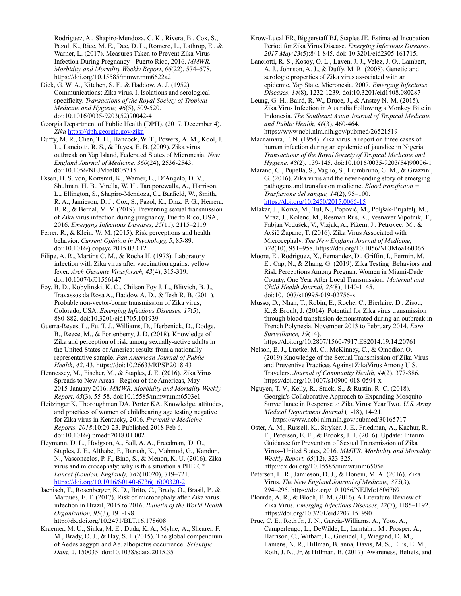Rodriguez, A., Shapiro-Mendoza, C. K., Rivera, B., Cox, S., Pazol, K., Rice, M. E., Dee, D. L., Romero, L., Lathrop, E., & Warner, L. (2017). Measures Taken to Prevent Zika Virus Infection During Pregnancy - Puerto Rico, 2016. *MMWR. Morbidity and Mortality Weekly Report*, *66*(22), 574–578. https://doi.org/10.15585/mmwr.mm6622a2

Dick, G. W. A., Kitchen, S. F., & Haddow, A. J. (1952). Communications: Zika virus. I. Isolations and serological specificity. *Transactions of the Royal Society of Tropical Medicine and Hygiene, 46*(5), 509-520. doi:10.1016/0035-9203(52)90042-4

Georgia Department of Public Health (DPH), (2017, December 4). *Zika* <https://dph.georgia.gov/zika>

Duffy, M. R., Chen, T. H., Hancock, W. T., Powers, A. M., Kool, J. L., Lanciotti, R. S., & Hayes, E. B. (2009). Zika virus outbreak on Yap Island, Federated States of Micronesia. *New England Journal of Medicine, 360*(24), 2536-2543. doi:10.1056/NEJMoa0805715

Essen, B. S. von, Kortsmit, K., Warner, L., D'Angelo, D. V., Shulman, H. B., Virella, W. H., Taraporewalla, A., Harrison, L., Ellington, S., Shapiro-Mendoza, C., Barfield, W., Smith, R. A., Jamieson, D. J., Cox, S., Pazol, K., Díaz, P. G., Herrera, B. R., & Bernal, M. V. (2019). Preventing sexual transmission of Zika virus infection during pregnancy, Puerto Rico, USA, 2016. *Emerging Infectious Diseases, 25*(11), 2115–2119

Ferrer, R., & Klein, W. M. (2015). Risk perceptions and health behavior. *Current Opinion in Psychology, 5*, 85-89. doi:10.1016/j.copsyc.2015.03.012

Filipe, A. R., Martins C. M., & Rocha H. (1973). Laboratory infection with Zika virus after vaccination against yellow fever. *Arch Gesamte Virusforsch, 43*(4), 315-319. doi:10.1007/bf01556147

Foy, B. D., Kobylinski, K. C., Chilson Foy J. L., Blitvich, B. J., Travassos da Rosa A., Haddow A. D., & Tesh R. B. (2011). Probable non-vector-borne transmission of Zika virus, Colorado, USA. *Emerging Infectious Diseases, 17*(5), 880-882. doi:10.3201/eid1705.101939

Guerra-Reyes, L., Fu, T. J., Williams, D., Herbenick, D., Dodge, B., Reece, M., & Fortenberry, J. D. (2018). Knowledge of Zika and perception of risk among sexually-active adults in the United States of America: results from a nationally representative sample. *Pan American Journal of Public Health, 42*, 43. https://doi:10.26633/RPSP.2018.43

Hennessey, M., Fischer, M., & Staples, J. E. (2016). Zika Virus Spreads to New Areas - Region of the Americas, May 2015-January 2016. *MMWR. Morbidity and Mortality Weekly Report, 65*(3), 55-58. doi:10.15585/mmwr.mm6503e1

Heitzinger K, Thoroughman DA, Porter KA. Knowledge, attitudes, and practices of women of childbearing age testing negative for Zika virus in Kentucky, 2016. *Preventive Medicine Reports. 2018*;10:20-23. Published 2018 Feb 6. doi:10.1016/j.pmedr.2018.01.002

Heymann, D. L., Hodgson, A., Sall, A. A., Freedman, D. O., Staples, J. E., Althabe, F., Baruah, K., Mahmud, G., Kandun, N., Vasconcelos, P. F., Bino, S., & Menon, K. U. (2016). Zika virus and microcephaly: why is this situation a PHEIC? *Lancet (London, England), 387*(10020), 719–721. [https://doi.org/10.1016/S0140-6736\(16\)00320-2](https://doi.org/10.1016/S0140-6736(16)00320-2)

Jaenisch, T., Rosenberger, K. D., Brito, C., Brady, O., Brasil, P., & Marques, E. T. (2017). Risk of microcephaly after Zika virus infection in Brazil, 2015 to 2016. *Bulletin of the World Health Organization, 95*(3), 191-198. http://dx.doi.org/10.2471/BLT.16.178608

Kraemer, M. U., Sinka, M. E., Duda, K. A., Mylne, A., Shearer, F. M., Brady, O. J., & Hay, S. I. (2015). The global compendium of Aedes aegypti and Ae. albopictus occurrence. *Scientific Data, 2*, 150035. doi:10.1038/sdata.2015.35

Krow-Lucal ER, Biggerstaff BJ, Staples JE. Estimated Incubation Period for Zika Virus Disease. *Emerging Infectious Diseases. 2017 May;23*(5):841-845. doi: 10.3201/eid2305.161715.

Lanciotti, R. S., Kosoy, O. L., Laven, J. J., Velez, J. O., Lambert, A. J., Johnson, A. J., & Duffy, M. R. (2008). Genetic and serologic properties of Zika virus associated with an epidemic, Yap State, Micronesia, 2007. *Emerging Infectious Diseases, 14*(8), 1232-1239. doi:10.3201/eid1408.080287

Leung, G. H., Baird, R. W., Druce, J., & Anstey N. M. (2015). Zika Virus Infection in Australia Following a Monkey Bite in Indonesia. *The Southeast Asian Journal of Tropical Medicine and Public Health, 46*(3), 460-464. https://www.ncbi.nlm.nih.gov/pubmed/26521519

Macnamara, F. N. (1954). Zika virus: a report on three cases of human infection during an epidemic of jaundice in Nigeria. *Transactions of the Royal Society of Tropical Medicine and Hygiene, 48*(2), 139-145. doi:10.1016/0035-9203(54)90006-1

Marano, G., Pupella, S., Vaglio, S., Liumbruno, G. M., & Grazzini, G. (2016). Zika virus and the never-ending story of emerging pathogens and transfusion medicine. *Blood transfusion = Trasfusione del sangue, 14*(2), 95–100. <https://doi.org/10.2450/2015.0066-15>

Mlakar, J., Korva, M., Tul, N., Popović, M., Poljšak-Prijatelj, M., Mraz, J., Kolenc, M., Resman Rus, K., Vesnaver Vipotnik, T., Fabjan Vodušek, V., Vizjak, A., Pižem, J., Petrovec, M., & Avšič Županc, T. (2016). Zika Virus Associated with Microcephaly. *The New England Journal of Medicine, 374*(10), 951–958. https://doi.org/10.1056/NEJMoa1600651

- Moore, E., Rodriguez, X., Fernandez, D., Griffin, I., Fermin, M. E., Cap, N., & Zhang, G. (2019). Zika Testing Behaviors and Risk Perceptions Among Pregnant Women in Miami-Dade County, One Year After Local Transmission. *Maternal and Child Health Journal, 23*(8), 1140-1145. doi:10.1007/s10995-019-02756-x
- Musso, D., Nhan, T., Robin, E., Roche, C., Bierlaire, D., Zisou, K.,& Broult, J. (2014). Potential for Zika virus transmission through blood transfusion demonstrated during an outbreak in French Polynesia, November 2013 to February 2014. *Euro Surveillance, 19*(14).

<https://doi.org/10.2807/1560-7917.ES2014.19.14.20761> Nelson, E. J., Luetke, M. C., McKinney, C., & Omodior, O.

(2019).Knowledge of the Sexual Transmission of Zika Virus and Preventive Practices Against ZikaVirus Among U.S. Travelers. *Journal of Community Health, 44*(2), 377-386. https://doi.org/10.1007/s10900-018-0594-x

Nguyen, T. V., Kelly, R., Stuck, S., & Rustin, R. C. (2018). Georgia's Collaborative Approach to Expanding Mosquito Surveillance in Response to Zika Virus: Year Two. *U.S. Army Medical Department Journal* (1-18), 14-21. https://www.ncbi.nlm.nih.gov/pubmed/30165717

Oster, A. M., Russell, K., Stryker, J. E., Friedman, A., Kachur, R. E., Petersen, E. E., & Brooks, J. T. (2016). Update: Interim Guidance for Prevention of Sexual Transmission of Zika Virus--United States, 2016. *MMWR. Morbidity and Mortality Weekly Report, 65*(12), 323-325. <http://dx.doi.org/10.15585/mmwr.mm6505e1>

Petersen, L. R., Jamieson, D. J., & Honein, M. A. (2016). Zika Virus. *The New England Journal of Medicine, 375*(3), 294–295. https://doi.org/10.1056/NEJMc1606769

Plourde, A. R., & Bloch, E. M. (2016). A Literature Review of Zika Virus. *Emerging Infectious Diseases*, 22(7), 1185–1192. https://doi.org/10.3201/eid2207.151990

Prue, C. E., Roth Jr., J. N., Garcia-Williams, A., Yoos, A., Camperlengo, L., DeWilde, L., Lamtahri, M., Prosper, A., Harrison, C., Witbart, L., Guendel, I., Wiegand, D. M., Lamens, N. R., Hillman, B. anna, Davis, M. S., Ellis, E. M., Roth, J. N., Jr, & Hillman, B. (2017). Awareness, Beliefs, and